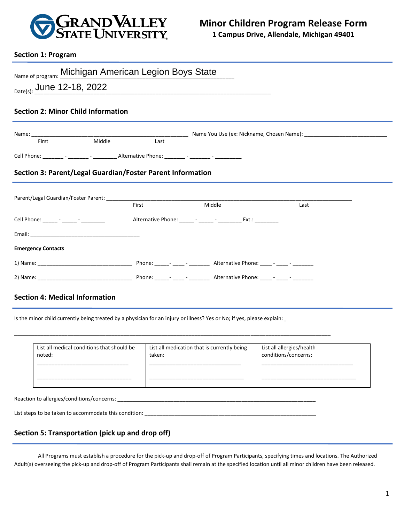

## **Section 1: Program**

| Name of program: Michigan American Legion Boys State                                             |       |                                                                |      |  |  |  |
|--------------------------------------------------------------------------------------------------|-------|----------------------------------------------------------------|------|--|--|--|
| Date(s): June 12-18, 2022                                                                        |       |                                                                |      |  |  |  |
| <b>Section 2: Minor Child Information</b>                                                        |       |                                                                |      |  |  |  |
|                                                                                                  |       |                                                                |      |  |  |  |
| Middle<br>First                                                                                  | Last  |                                                                |      |  |  |  |
| Cell Phone: _________ - ________ - _________ Alternative Phone: ________ - ________ - __________ |       |                                                                |      |  |  |  |
|                                                                                                  |       |                                                                |      |  |  |  |
| Section 3: Parent/Legal Guardian/Foster Parent Information                                       |       |                                                                |      |  |  |  |
|                                                                                                  | First | Middle                                                         | Last |  |  |  |
| Cell Phone: ______ - _____ - _______ -                                                           |       | Alternative Phone: ______ - _____ - __________ Ext.: _________ |      |  |  |  |
|                                                                                                  |       |                                                                |      |  |  |  |
| <b>Emergency Contacts</b>                                                                        |       |                                                                |      |  |  |  |
|                                                                                                  |       |                                                                |      |  |  |  |

## **Section 4: Medical Information**

Is the minor child currently being treated by a physician for an injury or illness? Yes or No; if yes, please explain:

\_\_\_\_\_\_\_\_\_\_\_\_\_\_\_\_\_\_\_\_\_\_\_\_\_\_\_\_\_\_\_\_\_\_\_\_\_\_\_\_\_\_\_\_\_\_\_\_\_\_\_\_\_\_\_\_\_\_\_\_\_\_\_\_\_\_\_\_\_\_\_\_\_\_\_\_\_\_\_\_\_\_\_\_\_\_\_\_\_\_\_\_\_\_\_\_\_\_\_\_\_\_\_\_\_\_\_

| List all medical conditions that should be | List all medication that is currently being | List all allergies/health |
|--------------------------------------------|---------------------------------------------|---------------------------|
| noted:                                     | taken:                                      | conditions/concerns:      |

Reaction to allergies/conditions/concerns: \_\_\_\_\_\_\_\_\_\_\_\_\_\_\_\_\_\_\_\_\_\_\_\_\_\_\_\_\_\_\_\_\_\_\_\_\_\_\_\_\_\_\_\_\_\_\_\_\_\_\_\_\_\_\_\_\_\_\_\_\_\_\_\_\_\_\_

List steps to be taken to accommodate this condition: \_\_\_\_\_\_\_\_\_\_\_\_\_\_\_\_\_\_\_\_\_\_\_\_\_\_\_\_\_\_\_\_\_\_\_\_\_\_\_\_\_\_\_\_\_\_\_\_\_\_\_\_\_\_\_\_\_\_

## **Section 5: Transportation (pick up and drop off)**

All Programs must establish a procedure for the pick-up and drop-off of Program Participants, specifying times and locations. The Authorized Adult(s) overseeing the pick-up and drop-off of Program Participants shall remain at the specified location until all minor children have been released.